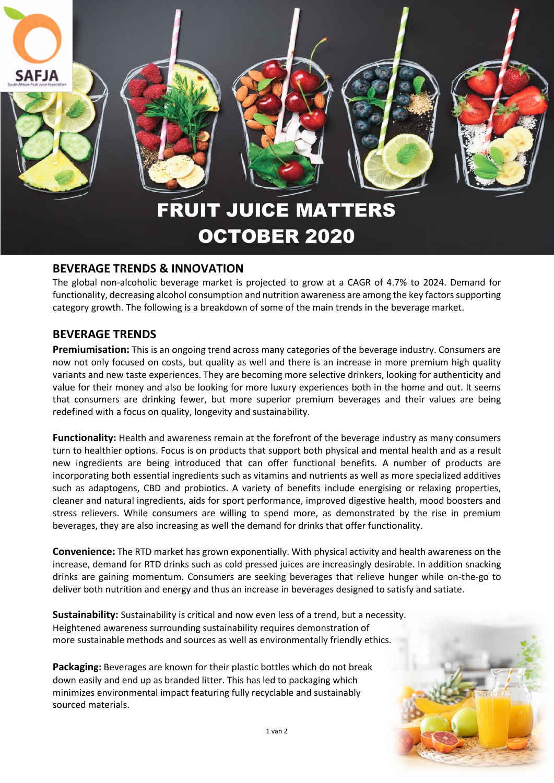

## **BEVERAGE TRENDS & INNOVATION**

The global non-alcoholic beverage market is projected to grow at a CAGR of 4.7% to 2024. Demand for functionality, decreasing alcohol consumption and nutrition awareness are among the key factors supporting category growth. The following is a breakdown of some of the main trends in the beverage market.

## **BEVERAGE TRENDS**

**Premiumisation:** This is an ongoing trend across many categories of the beverage industry. Consumers are now not only focused on costs, but quality as well and there is an increase in more premium high quality variants and new taste experiences. They are becoming more selective drinkers, looking for authenticity and value for their money and also be looking for more luxury experiences both in the home and out. It seems that consumers are drinking fewer, but more superior premium beverages and their values are being redefined with a focus on quality, longevity and sustainability.

**Functionality:** Health and awareness remain at the forefront of the beverage industry as many consumers turn to healthier options. Focus is on products that support both physical and mental health and as a result new ingredients are being introduced that can offer functional benefits. A number of products are incorporating both essential ingredients such as vitamins and nutrients as well as more specialized additives such as adaptogens, CBD and probiotics. A variety of benefits include energising or relaxing properties, cleaner and natural ingredients, aids for sport performance, improved digestive health, mood boosters and stress relievers. While consumers are willing to spend more, as demonstrated by the rise in premium beverages, they are also increasing as well the demand for drinks that offer functionality.

**Convenience:** The RTD market has grown exponentially. With physical activity and health awareness on the increase, demand for RTD drinks such as cold pressed juices are increasingly desirable. In addition snacking drinks are gaining momentum. Consumers are seeking beverages that relieve hunger while on-the-go to deliver both nutrition and energy and thus an increase in beverages designed to satisfy and satiate.

**Sustainability:** Sustainability is critical and now even less of a trend, but a necessity. Heightened awareness surrounding sustainability requires demonstration of more sustainable methods and sources as well as environmentally friendly ethics.

**Packaging:** Beverages are known for their plastic bottles which do not break down easily and end up as branded litter. This has led to packaging which minimizes environmental impact featuring fully recyclable and sustainably sourced materials.